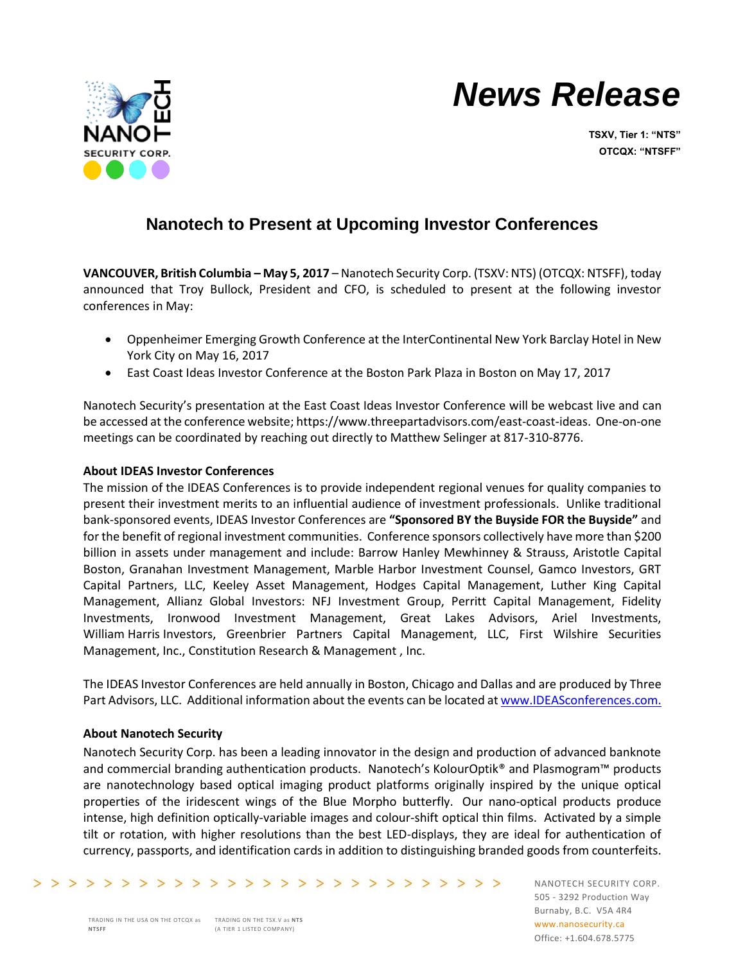



**TSXV, Tier 1: "NTS" OTCQX: "NTSFF"**

## **Nanotech to Present at Upcoming Investor Conferences**

**VANCOUVER, British Columbia – May 5, 2017** – Nanotech Security Corp. (TSXV: NTS) (OTCQX: NTSFF), today announced that Troy Bullock, President and CFO, is scheduled to present at the following investor conferences in May:

- Oppenheimer Emerging Growth Conference at the InterContinental New York Barclay Hotel in New York City on May 16, 2017
- East Coast Ideas Investor Conference at the Boston Park Plaza in Boston on May 17, 2017

Nanotech Security's presentation at the East Coast Ideas Investor Conference will be webcast live and can be accessed at the conference website; [https://www.threepartadvisors.com/east-coast-ideas.](https://www.threepartadvisors.com/east-coast-ideas) One-on-one meetings can be coordinated by reaching out directly to Matthew Selinger at 817-310-8776.

## **About IDEAS Investor Conferences**

The mission of the IDEAS Conferences is to provide independent regional venues for quality companies to present their investment merits to an influential audience of investment professionals. Unlike traditional bank-sponsored events, IDEAS Investor Conferences are **"Sponsored BY the Buyside FOR the Buyside"** and for the benefit of regional investment communities. Conference sponsors collectively have more than \$200 billion in assets under management and include: Barrow Hanley Mewhinney & Strauss, Aristotle Capital Boston, Granahan Investment Management, Marble Harbor Investment Counsel, Gamco Investors, GRT Capital Partners, LLC, Keeley Asset Management, Hodges Capital Management, Luther King Capital Management, Allianz Global Investors: NFJ Investment Group, Perritt Capital Management, Fidelity Investments, Ironwood Investment Management, Great Lakes Advisors, Ariel Investments, William Harris Investors, Greenbrier Partners Capital Management, LLC, First Wilshire Securities Management, Inc., Constitution Research & Management , Inc.

The IDEAS Investor Conferences are held annually in Boston, Chicago and Dallas and are produced by Three Part Advisors, LLC. Additional information about the events can be located a[t www.IDEASconferences.com.](http://www.ideasconferences.com/)

## **About Nanotech Security**

Nanotech Security Corp. has been a leading innovator in the design and production of advanced banknote and commercial branding authentication products. Nanotech's KolourOptik® and Plasmogram™ products are nanotechnology based optical imaging product platforms originally inspired by the unique optical properties of the iridescent wings of the Blue Morpho butterfly. Our nano-optical products produce intense, high definition optically-variable images and colour-shift optical thin films. Activated by a simple tilt or rotation, with higher resolutions than the best LED-displays, they are ideal for authentication of currency, passports, and identification cards in addition to distinguishing branded goods from counterfeits.

NANOTECH SECURITY CORP. 505 - 3292 Production Way Burnaby, B.C. V5A 4R4 www.nanosecurity.ca Office: +1.604.678.5775